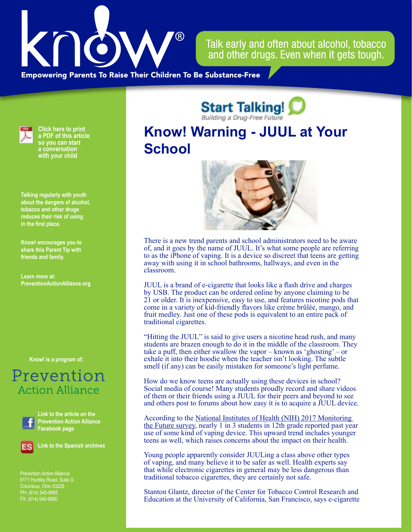

Talk early and often about alcohol, tobacco and other drugs. Even when it gets tough.

**Empowering Parents To Raise Their Children To Be Substance-Free** 



**Click here to print a PDF of this article so you can start a conversation with your child**

**Talking regularly with youth about the dangers of alcohol, tobacco and other drugs reduces their risk of using in the first place.**

**Know! encourages you to share this Parent Tip with friends and family.**

**Learn more at: PreventionActionAlliance[.org](https://www.drugfreeactionalliance.org/)**

**[Know! is a program of:](https://preventionactionalliance.org/)**

## Prevention **Action Alliance**



**Link to the article on the Prevention Action Alliance Facebook page**



**Link to the Spanish archives**

Prevention Action Alliance Columbus, Ohio 43229 PH: (614) 540-9985 FX: (614) 540-9990

**Start Talking!** 

## **Know! Warning - JUUL at Your School**



There is a new trend parents and school administrators need to be aware of, and it goes by the name of JUUL. It's what some people are referring to as the iPhone of vaping. It is a device so discreet that teens are getting away with using it in school bathrooms, hallways, and even in the classroom.

JUUL is a brand of e-cigarette that looks like a flash drive and charges by USB. The product can be ordered online by anyone claiming to be 21 or older. It is inexpensive, easy to use, and features nicotine pods that come in a variety of kid-friendly flavors like crème brûlée, mango, and fruit medley. Just one of these pods is equivalent to an entire pack of traditional cigarettes.

"Hitting the JUUL" is said to give users a nicotine head rush, and many students are brazen enough to do it in the middle of the classroom. They take a puff, then either swallow the vapor – known as 'ghosting' – or exhale it into their hoodie when the teacher isn't looking. The subtle smell (if any) can be easily mistaken for someone's light perfume.

How do we know teens are actually using these devices in school? Social media of course! Many students proudly record and share videos of them or their friends using a JUUL for their peers and beyond to see and others post to forums about how easy it is to acquire a JUUL device.

According to the [National Institutes of Health \(NIH\) 2017 Monitoring](https://www.drugabuse.gov/news-events/news-releases/2017/12/vaping-popular-among-teens-opioid-misuse-historic-lows)  [the Future survey](https://www.drugabuse.gov/news-events/news-releases/2017/12/vaping-popular-among-teens-opioid-misuse-historic-lows), nearly 1 in 3 students in 12th grade reported past year use of some kind of vaping device. This upward trend includes younger teens as well, which raises concerns about the impact on their health.

Young people apparently consider JUULing a class above other types of vaping, and many believe it to be safer as well. Health experts say that while electronic cigarettes in general may be less dangerous than traditional tobacco cigarettes, they are certainly not safe.

Stanton Glantz, director of the Center for Tobacco Control Research and Education at the University of California, San Francisco, says e-cigarette